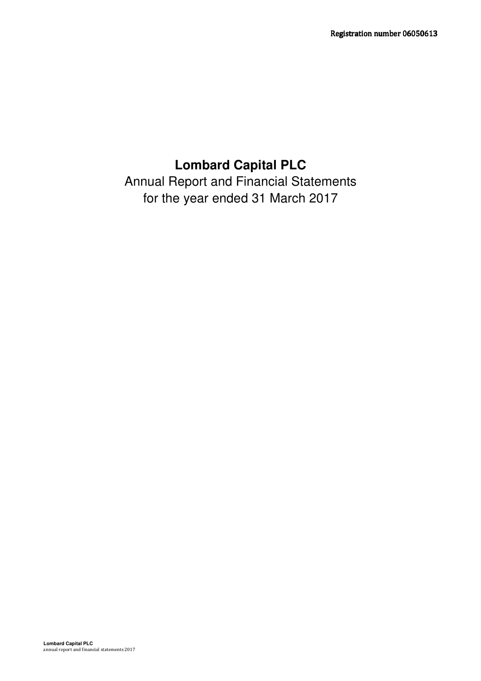# **Lombard Capital PLC**

Annual Report and Financial Statements for the year ended 31 March 2017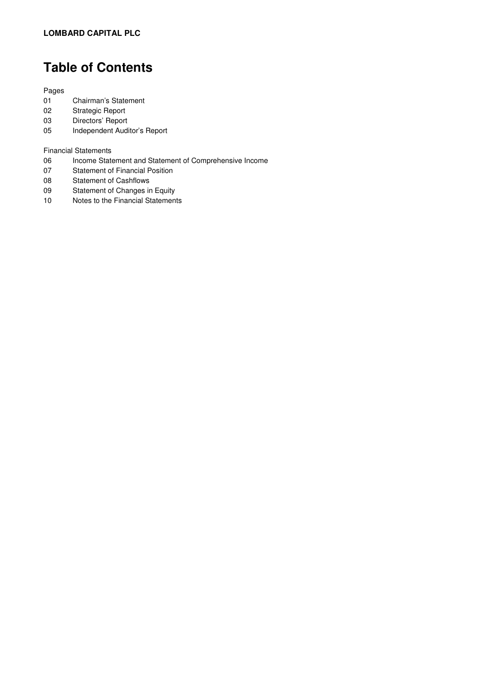# **Table of Contents**

### Pages

- 01 Chairman's Statement
- 02 Strategic Report
- 03 Directors' Report
- 05 Independent Auditor's Report

### Financial Statements

- 06 Income Statement and Statement of Comprehensive Income
- 07 Statement of Financial Position
- 08 Statement of Cashflows
- 09 Statement of Changes in Equity
- 10 Notes to the Financial Statements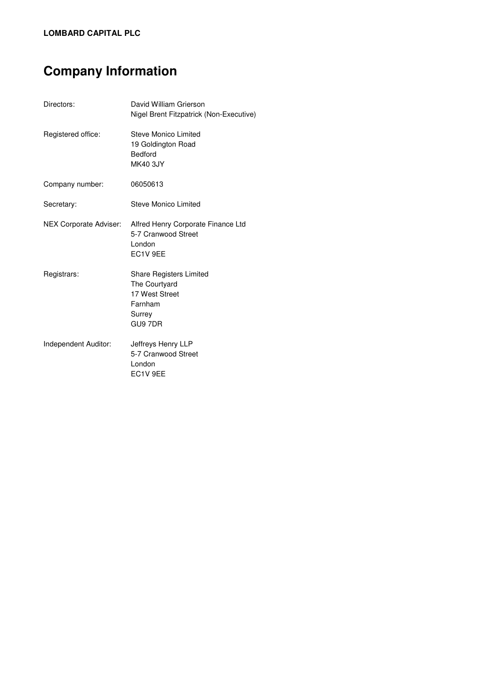### **LOMBARD CAPITAL PLC**

# **Company Information**

| Directors:                    | David William Grierson<br>Nigel Brent Fitzpatrick (Non-Executive)                                 |
|-------------------------------|---------------------------------------------------------------------------------------------------|
| Registered office:            | <b>Steve Monico Limited</b><br>19 Goldington Road<br>Bedford<br><b>MK40 3JY</b>                   |
| Company number:               | 06050613                                                                                          |
| Secretary:                    | <b>Steve Monico Limited</b>                                                                       |
| <b>NEX Corporate Adviser:</b> | Alfred Henry Corporate Finance Ltd<br>5-7 Cranwood Street<br>London<br>EC1V 9EE                   |
| Registrars:                   | <b>Share Registers Limited</b><br>The Courtyard<br>17 West Street<br>Farnham<br>Surrey<br>GU9 7DR |
| Independent Auditor:          | Jeffreys Henry LLP<br>5-7 Cranwood Street<br>London<br>EC1V 9EE                                   |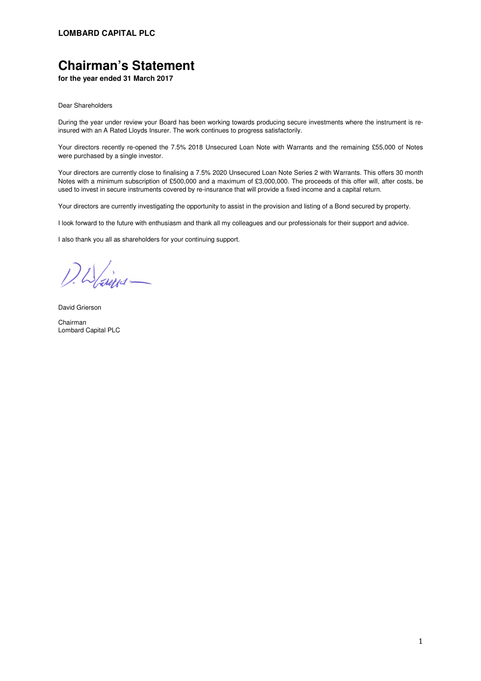# **Chairman's Statement**

**for the year ended 31 March 2017** 

Dear Shareholders

During the year under review your Board has been working towards producing secure investments where the instrument is reinsured with an A Rated Lloyds Insurer. The work continues to progress satisfactorily.

Your directors recently re-opened the 7.5% 2018 Unsecured Loan Note with Warrants and the remaining £55,000 of Notes were purchased by a single investor.

Your directors are currently close to finalising a 7.5% 2020 Unsecured Loan Note Series 2 with Warrants. This offers 30 month Notes with a minimum subscription of £500,000 and a maximum of £3,000,000. The proceeds of this offer will, after costs, be used to invest in secure instruments covered by re-insurance that will provide a fixed income and a capital return.

Your directors are currently investigating the opportunity to assist in the provision and listing of a Bond secured by property.

I look forward to the future with enthusiasm and thank all my colleagues and our professionals for their support and advice.

I also thank you all as shareholders for your continuing support.

 $\sqrt{\frac{1}{\epsilon}}$ 

David Grierson

Chairman Lombard Capital PLC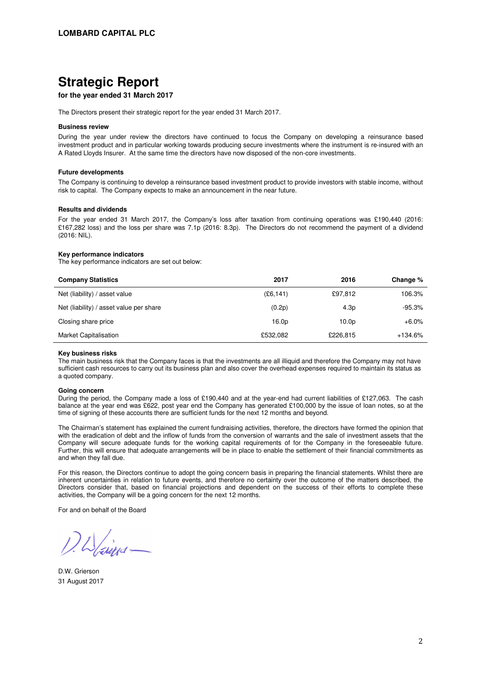# **Strategic Report**

### **for the year ended 31 March 2017**

The Directors present their strategic report for the year ended 31 March 2017.

#### **Business review**

During the year under review the directors have continued to focus the Company on developing a reinsurance based investment product and in particular working towards producing secure investments where the instrument is re-insured with an A Rated Lloyds Insurer. At the same time the directors have now disposed of the non-core investments.

#### **Future developments**

The Company is continuing to develop a reinsurance based investment product to provide investors with stable income, without risk to capital. The Company expects to make an announcement in the near future.

#### **Results and dividends**

For the year ended 31 March 2017, the Company's loss after taxation from continuing operations was £190,440 (2016: £167,282 loss) and the loss per share was 7.1p (2016: 8.3p). The Directors do not recommend the payment of a dividend (2016: NIL).

#### **Key performance indicators**

The key performance indicators are set out below:

| <b>Company Statistics</b>               | 2017              | 2016              | Change %  |
|-----------------------------------------|-------------------|-------------------|-----------|
| Net (liability) / asset value           | (E6, 141)         | £97,812           | 106.3%    |
| Net (liability) / asset value per share | (0.2p)            | 4.3 <sub>p</sub>  | $-95.3%$  |
| Closing share price                     | 16.0 <sub>p</sub> | 10.0 <sub>p</sub> | $+6.0%$   |
| <b>Market Capitalisation</b>            | £532.082          | £226.815          | $+134.6%$ |

#### **Key business risks**

The main business risk that the Company faces is that the investments are all illiquid and therefore the Company may not have sufficient cash resources to carry out its business plan and also cover the overhead expenses required to maintain its status as a quoted company.

#### **Going concern**

During the period, the Company made a loss of £190,440 and at the year-end had current liabilities of £127,063. The cash balance at the year end was £622, post year end the Company has generated £100,000 by the issue of loan notes, so at the time of signing of these accounts there are sufficient funds for the next 12 months and beyond.

The Chairman's statement has explained the current fundraising activities, therefore, the directors have formed the opinion that with the eradication of debt and the inflow of funds from the conversion of warrants and the sale of investment assets that the Company will secure adequate funds for the working capital requirements of for the Company in the foreseeable future. Further, this will ensure that adequate arrangements will be in place to enable the settlement of their financial commitments as and when they fall due.

For this reason, the Directors continue to adopt the going concern basis in preparing the financial statements. Whilst there are inherent uncertainties in relation to future events, and therefore no certainty over the outcome of the matters described, the Directors consider that, based on financial projections and dependent on the success of their efforts to complete these activities, the Company will be a going concern for the next 12 months.

For and on behalf of the Board

langer -

D.W. Grierson 31 August 2017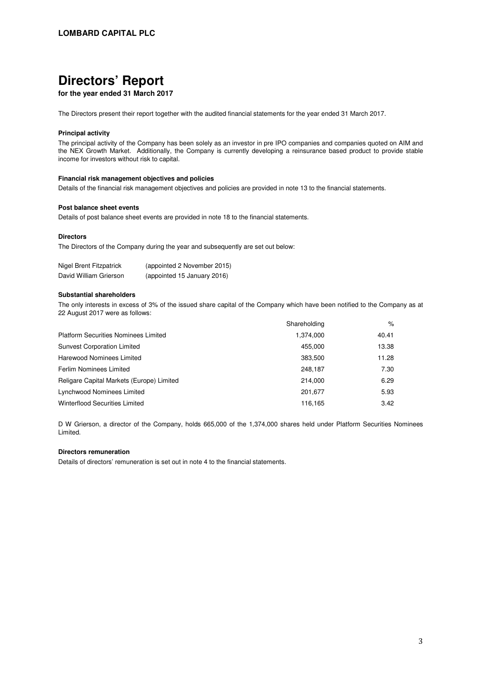# **Directors' Report**

### **for the year ended 31 March 2017**

The Directors present their report together with the audited financial statements for the year ended 31 March 2017.

#### **Principal activity**

The principal activity of the Company has been solely as an investor in pre IPO companies and companies quoted on AIM and the NEX Growth Market. Additionally, the Company is currently developing a reinsurance based product to provide stable income for investors without risk to capital.

#### **Financial risk management objectives and policies**

Details of the financial risk management objectives and policies are provided in note 13 to the financial statements.

#### **Post balance sheet events**

Details of post balance sheet events are provided in note 18 to the financial statements.

#### **Directors**

The Directors of the Company during the year and subsequently are set out below:

| Nigel Brent Fitzpatrick | (appointed 2 November 2015) |
|-------------------------|-----------------------------|
| David William Grierson  | (appointed 15 January 2016) |

#### **Substantial shareholders**

The only interests in excess of 3% of the issued share capital of the Company which have been notified to the Company as at 22 August 2017 were as follows:

|                                             | Shareholding | %     |
|---------------------------------------------|--------------|-------|
| <b>Platform Securities Nominees Limited</b> | 1,374,000    | 40.41 |
| <b>Sunvest Corporation Limited</b>          | 455.000      | 13.38 |
| <b>Harewood Nominees Limited</b>            | 383.500      | 11.28 |
| Ferlim Nominees Limited                     | 248.187      | 7.30  |
| Religare Capital Markets (Europe) Limited   | 214.000      | 6.29  |
| Lynchwood Nominees Limited                  | 201.677      | 5.93  |
| Winterflood Securities Limited              | 116,165      | 3.42  |

D W Grierson, a director of the Company, holds 665,000 of the 1,374,000 shares held under Platform Securities Nominees Limited.

#### **Directors remuneration**

Details of directors' remuneration is set out in note 4 to the financial statements.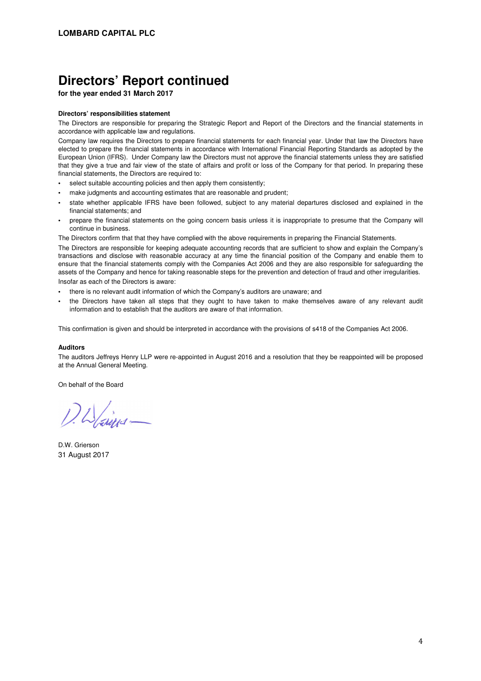# **Directors' Report continued**

**for the year ended 31 March 2017** 

#### **Directors' responsibilities statement**

The Directors are responsible for preparing the Strategic Report and Report of the Directors and the financial statements in accordance with applicable law and regulations.

Company law requires the Directors to prepare financial statements for each financial year. Under that law the Directors have elected to prepare the financial statements in accordance with International Financial Reporting Standards as adopted by the European Union (IFRS). Under Company law the Directors must not approve the financial statements unless they are satisfied that they give a true and fair view of the state of affairs and profit or loss of the Company for that period. In preparing these financial statements, the Directors are required to:

- **•** select suitable accounting policies and then apply them consistently;
- **•** make judgments and accounting estimates that are reasonable and prudent;
- **•** state whether applicable IFRS have been followed, subject to any material departures disclosed and explained in the financial statements; and
- **•** prepare the financial statements on the going concern basis unless it is inappropriate to presume that the Company will continue in business.

The Directors confirm that that they have complied with the above requirements in preparing the Financial Statements.

The Directors are responsible for keeping adequate accounting records that are sufficient to show and explain the Company's transactions and disclose with reasonable accuracy at any time the financial position of the Company and enable them to ensure that the financial statements comply with the Companies Act 2006 and they are also responsible for safeguarding the assets of the Company and hence for taking reasonable steps for the prevention and detection of fraud and other irregularities. Insofar as each of the Directors is aware:

- **•** there is no relevant audit information of which the Company's auditors are unaware; and
- **•** the Directors have taken all steps that they ought to have taken to make themselves aware of any relevant audit information and to establish that the auditors are aware of that information.

This confirmation is given and should be interpreted in accordance with the provisions of s418 of the Companies Act 2006.

#### **Auditors**

The auditors Jeffreys Henry LLP were re-appointed in August 2016 and a resolution that they be reappointed will be proposed at the Annual General Meeting.

On behalf of the Board

D.W. Grierson 31 August 2017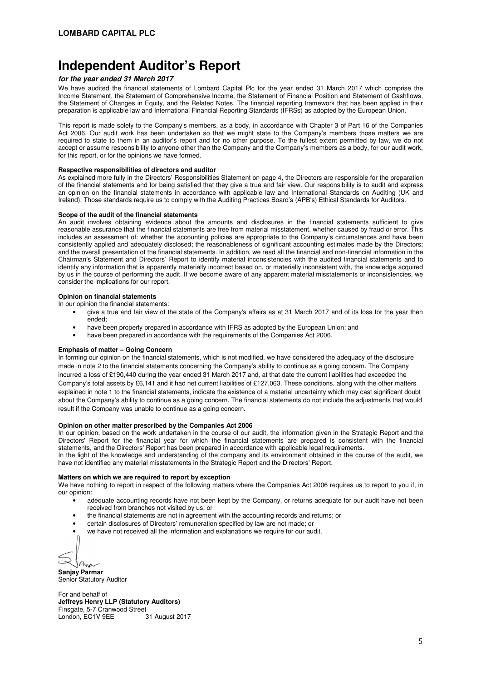# **Independent Auditor's Report**

#### **for the year ended 31 March 2017**

We have audited the financial statements of Lombard Capital Plc for the year ended 31 March 2017 which comprise the Income Statement, the Statement of Comprehensive Income, the Statement of Financial Position and Statement of Cashflows, the Statement of Changes in Equity, and the Related Notes. The financial reporting framework that has been applied in their preparation is applicable law and International Financial Reporting Standards (IFRSs) as adopted by the European Union.

This report is made solely to the Company's members, as a body, in accordance with Chapter 3 of Part 16 of the Companies Act 2006. Our audit work has been undertaken so that we might state to the Company's members those matters we are required to state to them in an auditor's report and for no other purpose. To the fullest extent permitted by law, we do not accept or assume responsibility to anyone other than the Company and the Company's members as a body, for our audit work, for this report, or for the opinions we have formed.

#### **Respective responsibilities of directors and auditor**

As explained more fully in the Directors' Responsibilities Statement on page 4, the Directors are responsible for the preparation of the financial statements and for being satisfied that they give a true and fair view. Our responsibility is to audit and express an opinion on the financial statements in accordance with applicable law and International Standards on Auditing (UK and Ireland). Those standards require us to comply with the Auditing Practices Board's (APB's) Ethical Standards for Auditors.

#### **Scope of the audit of the financial statements**

An audit involves obtaining evidence about the amounts and disclosures in the financial statements sufficient to give reasonable assurance that the financial statements are free from material misstatement, whether caused by fraud or error. This includes an assessment of: whether the accounting policies are appropriate to the Company's circumstances and have been consistently applied and adequately disclosed; the reasonableness of significant accounting estimates made by the Directors; and the overall presentation of the financial statements. In addition, we read all the financial and non-financial information in the Chairman's Statement and Directors' Report to identify material inconsistencies with the audited financial statements and to identify any information that is apparently materially incorrect based on, or materially inconsistent with, the knowledge acquired by us in the course of performing the audit. If we become aware of any apparent material misstatements or inconsistencies, we consider the implications for our report.

#### **Opinion on financial statements**

In our opinion the financial statements:

- give a true and fair view of the state of the Company's affairs as at 31 March 2017 and of its loss for the year then ended;
- have been properly prepared in accordance with IFRS as adopted by the European Union; and
- have been prepared in accordance with the requirements of the Companies Act 2006.

#### **Emphasis of matter – Going Concern**

In forming our opinion on the financial statements, which is not modified, we have considered the adequacy of the disclosure made in note 2 to the financial statements concerning the Company's ability to continue as a going concern. The Company incurred a loss of £190,440 during the year ended 31 March 2017 and, at that date the current liabilities had exceeded the Company's total assets by £6,141 and it had net current liabilities of £127,063. These conditions, along with the other matters explained in note 1 to the financial statements, indicate the existence of a material uncertainty which may cast significant doubt about the Company's ability to continue as a going concern. The financial statements do not include the adjustments that would result if the Company was unable to continue as a going concern.

#### **Opinion on other matter prescribed by the Companies Act 2006**

In our opinion, based on the work undertaken in the course of our audit, the information given in the Strategic Report and the Directors' Report for the financial year for which the financial statements are prepared is consistent with the financial statements, and the Directors' Report has been prepared in accordance with applicable legal requirements. In the light of the knowledge and understanding of the company and its environment obtained in the course of the audit, we have not identified any material misstatements in the Strategic Report and the Directors' Report.

#### **Matters on which we are required to report by exception**

We have nothing to report in respect of the following matters where the Companies Act 2006 requires us to report to you if, in our opinion:

- adequate accounting records have not been kept by the Company, or returns adequate for our audit have not been received from branches not visited by us; or
- the financial statements are not in agreement with the accounting records and returns; or
- certain disclosures of Directors' remuneration specified by law are not made; or
- we have not received all the information and explanations we require for our audit.



**Sanjay Parmar**  Senior Statutory Auditor

For and behalf of **Jeffreys Henry LLP (Statutory Auditors)**  Finsgate, 5-7 Cranwood Street<br>London, EC1V 9EE 31 August 2017 London, EC1V 9EE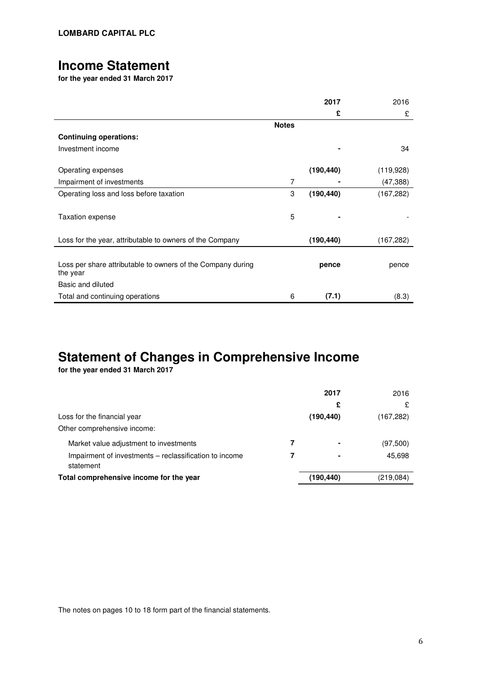# **Income Statement**

**for the year ended 31 March 2017**

|                                                                         |              | 2017       | 2016       |
|-------------------------------------------------------------------------|--------------|------------|------------|
|                                                                         |              | £          | £          |
|                                                                         | <b>Notes</b> |            |            |
| <b>Continuing operations:</b>                                           |              |            |            |
| Investment income                                                       |              |            | 34         |
| Operating expenses                                                      |              | (190, 440) | (119, 928) |
| Impairment of investments                                               | 7            |            | (47, 388)  |
| Operating loss and loss before taxation                                 | 3            | (190, 440) | (167, 282) |
| Taxation expense                                                        | 5            |            |            |
| Loss for the year, attributable to owners of the Company                |              | (190, 440) | (167, 282) |
|                                                                         |              |            |            |
| Loss per share attributable to owners of the Company during<br>the year |              | pence      | pence      |
| Basic and diluted                                                       |              |            |            |
| Total and continuing operations                                         | 6            | (7.1)      | (8.3)      |

# **Statement of Changes in Comprehensive Income**

**for the year ended 31 March 2017**

|                                                                     | 2017           | 2016      |
|---------------------------------------------------------------------|----------------|-----------|
|                                                                     | £              | £         |
| Loss for the financial year                                         | (190, 440)     | (167,282) |
| Other comprehensive income:                                         |                |           |
| Market value adjustment to investments                              | $\blacksquare$ | (97,500)  |
| Impairment of investments – reclassification to income<br>statement |                | 45,698    |
| Total comprehensive income for the year                             | (190, 440)     | (219,084) |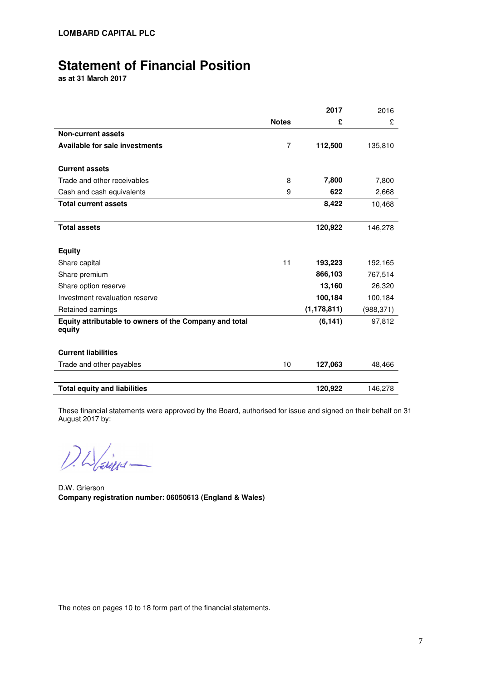# **Statement of Financial Position**

**as at 31 March 2017** 

|                                                                  |              | 2017          | 2016       |
|------------------------------------------------------------------|--------------|---------------|------------|
|                                                                  | <b>Notes</b> | £             | £          |
| <b>Non-current assets</b>                                        |              |               |            |
| Available for sale investments                                   | 7            | 112,500       | 135,810    |
|                                                                  |              |               |            |
| <b>Current assets</b>                                            |              |               |            |
| Trade and other receivables                                      | 8            | 7,800         | 7,800      |
| Cash and cash equivalents                                        | 9            | 622           | 2,668      |
| <b>Total current assets</b>                                      |              | 8,422         | 10,468     |
|                                                                  |              |               |            |
| <b>Total assets</b>                                              |              | 120,922       | 146,278    |
|                                                                  |              |               |            |
| <b>Equity</b>                                                    |              |               |            |
| Share capital                                                    | 11           | 193,223       | 192,165    |
| Share premium                                                    |              | 866,103       | 767,514    |
| Share option reserve                                             |              | 13,160        | 26,320     |
| Investment revaluation reserve                                   |              | 100,184       | 100,184    |
| Retained earnings                                                |              | (1, 178, 811) | (988, 371) |
| Equity attributable to owners of the Company and total<br>equity |              | (6, 141)      | 97,812     |
|                                                                  |              |               |            |
| <b>Current liabilities</b>                                       |              |               |            |
| Trade and other payables                                         | 10           | 127,063       | 48,466     |
|                                                                  |              |               |            |
| <b>Total equity and liabilities</b>                              |              | 120,922       | 146,278    |

These financial statements were approved by the Board, authorised for issue and signed on their behalf on 31 August 2017 by:

 $24.$ *Liga-*

D.W. Grierson **Company registration number: 06050613 (England & Wales)**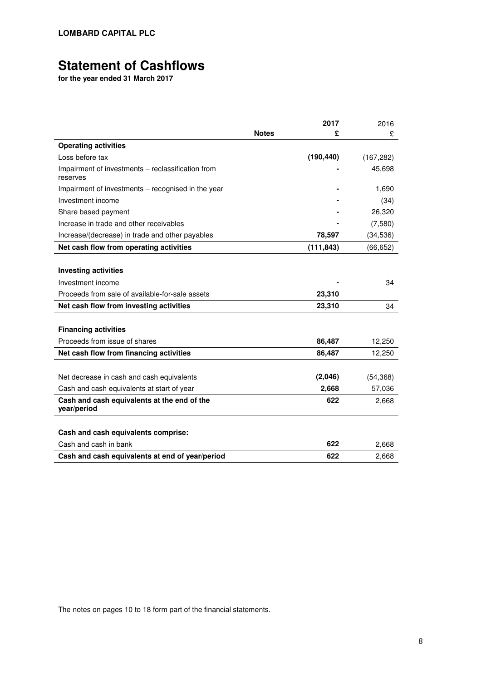# **Statement of Cashflows**

**for the year ended 31 March 2017** 

|                                                               |              | 2017       | 2016       |
|---------------------------------------------------------------|--------------|------------|------------|
|                                                               | <b>Notes</b> | £          | £          |
| <b>Operating activities</b>                                   |              |            |            |
| Loss before tax                                               |              | (190, 440) | (167, 282) |
| Impairment of investments – reclassification from<br>reserves |              |            | 45,698     |
| Impairment of investments – recognised in the year            |              |            | 1,690      |
| Investment income                                             |              |            | (34)       |
| Share based payment                                           |              |            | 26,320     |
| Increase in trade and other receivables                       |              |            | (7,580)    |
| Increase/(decrease) in trade and other payables               |              | 78,597     | (34, 536)  |
| Net cash flow from operating activities                       |              | (111, 843) | (66, 652)  |
|                                                               |              |            |            |
| <b>Investing activities</b>                                   |              |            |            |
| Investment income                                             |              |            | 34         |
| Proceeds from sale of available-for-sale assets               |              | 23,310     |            |
| Net cash flow from investing activities                       |              | 23,310     | 34         |
|                                                               |              |            |            |
| <b>Financing activities</b>                                   |              |            |            |
| Proceeds from issue of shares                                 |              | 86,487     | 12,250     |
| Net cash flow from financing activities                       |              | 86,487     | 12,250     |
|                                                               |              |            |            |
| Net decrease in cash and cash equivalents                     |              | (2,046)    | (54, 368)  |
| Cash and cash equivalents at start of year                    |              | 2,668      | 57,036     |
| Cash and cash equivalents at the end of the<br>year/period    |              | 622        | 2,668      |
| Cash and cash equivalents comprise:                           |              |            |            |
| Cash and cash in bank                                         |              | 622        | 2,668      |
| Cash and cash equivalents at end of year/period               |              | 622        | 2,668      |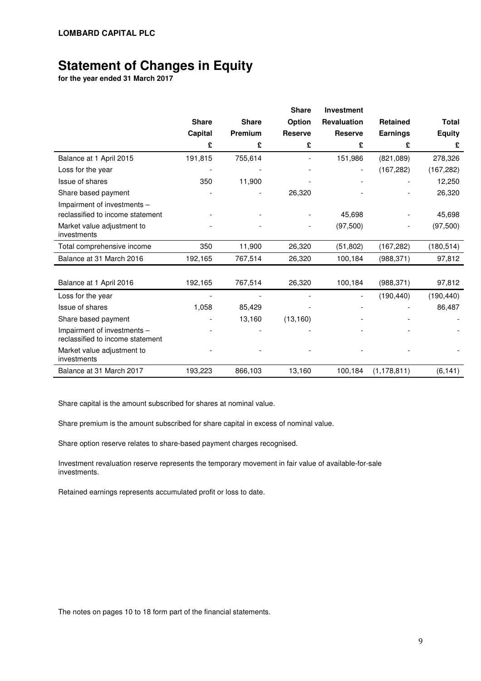# **Statement of Changes in Equity**

**for the year ended 31 March 2017** 

|                                                                 |                |                | <b>Share</b>   | <b>Investment</b>        |                 |               |
|-----------------------------------------------------------------|----------------|----------------|----------------|--------------------------|-----------------|---------------|
|                                                                 | <b>Share</b>   | <b>Share</b>   | Option         | Revaluation              | <b>Retained</b> | <b>Total</b>  |
|                                                                 | <b>Capital</b> | <b>Premium</b> | <b>Reserve</b> | <b>Reserve</b>           | <b>Earnings</b> | <b>Equity</b> |
|                                                                 | £              | £              | £              | £                        | £               | £             |
| Balance at 1 April 2015                                         | 191,815        | 755,614        |                | 151,986                  | (821,089)       | 278,326       |
| Loss for the year                                               |                |                |                |                          | (167, 282)      | (167, 282)    |
| <b>Issue of shares</b>                                          | 350            | 11,900         |                |                          |                 | 12,250        |
| Share based payment                                             |                |                | 26,320         |                          |                 | 26,320        |
| Impairment of investments -                                     |                |                |                |                          |                 |               |
| reclassified to income statement                                |                |                |                | 45,698                   |                 | 45,698        |
| Market value adjustment to<br>investments                       |                |                |                | (97, 500)                |                 | (97, 500)     |
| Total comprehensive income                                      | 350            | 11,900         | 26,320         | (51, 802)                | (167, 282)      | (180, 514)    |
| Balance at 31 March 2016                                        | 192,165        | 767,514        | 26,320         | 100,184                  | (988, 371)      | 97,812        |
|                                                                 |                |                |                |                          |                 |               |
| Balance at 1 April 2016                                         | 192,165        | 767,514        | 26,320         | 100,184                  | (988, 371)      | 97,812        |
| Loss for the year                                               |                |                |                | $\overline{\phantom{0}}$ | (190, 440)      | (190, 440)    |
| <b>Issue of shares</b>                                          | 1,058          | 85,429         |                |                          |                 | 86,487        |
| Share based payment                                             |                | 13,160         | (13, 160)      |                          |                 |               |
| Impairment of investments -<br>reclassified to income statement |                |                |                |                          |                 |               |
| Market value adjustment to<br>investments                       |                |                |                |                          |                 |               |
| Balance at 31 March 2017                                        | 193,223        | 866,103        | 13,160         | 100,184                  | (1, 178, 811)   | (6, 141)      |

Share capital is the amount subscribed for shares at nominal value.

Share premium is the amount subscribed for share capital in excess of nominal value.

Share option reserve relates to share-based payment charges recognised.

Investment revaluation reserve represents the temporary movement in fair value of available-for-sale investments.

Retained earnings represents accumulated profit or loss to date.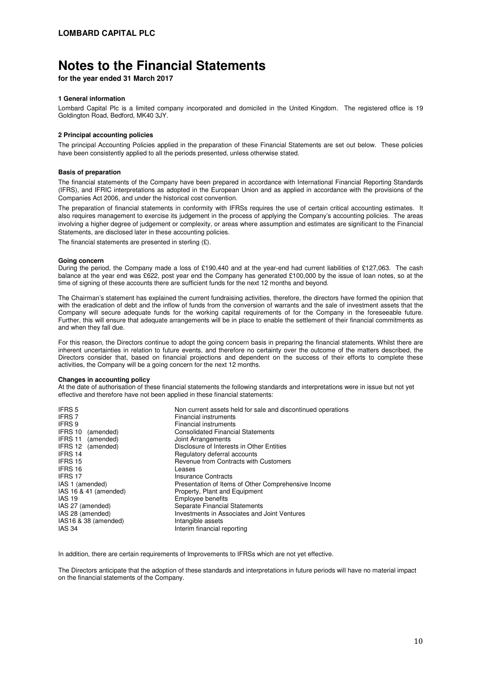**for the year ended 31 March 2017** 

#### **1 General information**

Lombard Capital Plc is a limited company incorporated and domiciled in the United Kingdom. The registered office is 19 Goldington Road, Bedford, MK40 3JY.

#### **2 Principal accounting policies**

The principal Accounting Policies applied in the preparation of these Financial Statements are set out below. These policies have been consistently applied to all the periods presented, unless otherwise stated.

#### **Basis of preparation**

The financial statements of the Company have been prepared in accordance with International Financial Reporting Standards (IFRS), and IFRIC interpretations as adopted in the European Union and as applied in accordance with the provisions of the Companies Act 2006, and under the historical cost convention.

The preparation of financial statements in conformity with IFRSs requires the use of certain critical accounting estimates. It also requires management to exercise its judgement in the process of applying the Company's accounting policies. The areas involving a higher degree of judgement or complexity, or areas where assumption and estimates are significant to the Financial Statements, are disclosed later in these accounting policies.

The financial statements are presented in sterling  $(E)$ .

#### **Going concern**

During the period, the Company made a loss of £190,440 and at the year-end had current liabilities of £127,063. The cash balance at the year end was £622, post year end the Company has generated £100,000 by the issue of loan notes, so at the time of signing of these accounts there are sufficient funds for the next 12 months and beyond.

The Chairman's statement has explained the current fundraising activities, therefore, the directors have formed the opinion that with the eradication of debt and the inflow of funds from the conversion of warrants and the sale of investment assets that the Company will secure adequate funds for the working capital requirements of for the Company in the foreseeable future. Further, this will ensure that adequate arrangements will be in place to enable the settlement of their financial commitments as and when they fall due.

For this reason, the Directors continue to adopt the going concern basis in preparing the financial statements. Whilst there are inherent uncertainties in relation to future events, and therefore no certainty over the outcome of the matters described, the Directors consider that, based on financial projections and dependent on the success of their efforts to complete these activities, the Company will be a going concern for the next 12 months.

#### **Changes in accounting policy**

At the date of authorisation of these financial statements the following standards and interpretations were in issue but not yet effective and therefore have not been applied in these financial statements:

| IFRS 5                | Non current assets held for sale and discontinued operations |
|-----------------------|--------------------------------------------------------------|
| <b>IFRS 7</b>         | Financial instruments                                        |
| IFRS 9                | <b>Financial instruments</b>                                 |
| IFRS 10<br>(amended)  | <b>Consolidated Financial Statements</b>                     |
| IFRS 11<br>(amended)  | Joint Arrangements                                           |
| IFRS 12<br>(amended)  | Disclosure of Interests in Other Entities                    |
| IFRS 14               | Regulatory deferral accounts                                 |
| IFRS 15               | Revenue from Contracts with Customers                        |
| IFRS 16               | Leases                                                       |
| IFRS 17               | Insurance Contracts                                          |
| IAS 1 (amended)       | Presentation of Items of Other Comprehensive Income          |
| IAS 16 & 41 (amended) | Property, Plant and Equipment                                |
| <b>IAS 19</b>         | Employee benefits                                            |
| IAS 27 (amended)      | Separate Financial Statements                                |
| IAS 28 (amended)      | Investments in Associates and Joint Ventures                 |
| IAS16 & 38 (amended)  | Intangible assets                                            |
| <b>IAS 34</b>         | Interim financial reporting                                  |
|                       |                                                              |

In addition, there are certain requirements of Improvements to IFRSs which are not yet effective.

The Directors anticipate that the adoption of these standards and interpretations in future periods will have no material impact on the financial statements of the Company.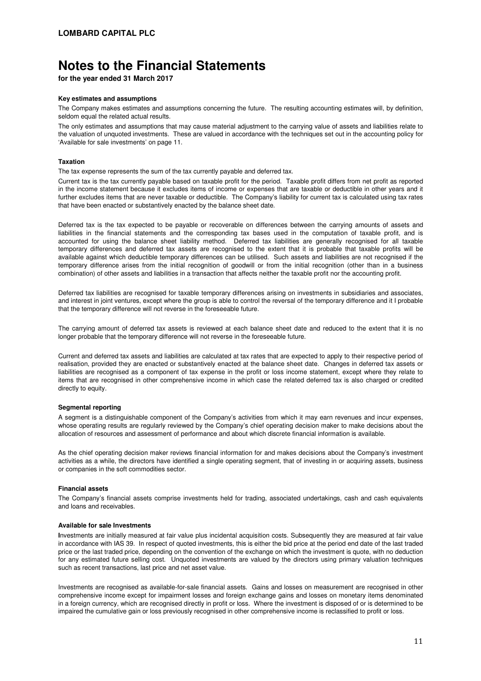**for the year ended 31 March 2017** 

#### **Key estimates and assumptions**

The Company makes estimates and assumptions concerning the future. The resulting accounting estimates will, by definition, seldom equal the related actual results.

The only estimates and assumptions that may cause material adjustment to the carrying value of assets and liabilities relate to the valuation of unquoted investments. These are valued in accordance with the techniques set out in the accounting policy for 'Available for sale investments' on page 11.

#### **Taxation**

The tax expense represents the sum of the tax currently payable and deferred tax.

Current tax is the tax currently payable based on taxable profit for the period. Taxable profit differs from net profit as reported in the income statement because it excludes items of income or expenses that are taxable or deductible in other years and it further excludes items that are never taxable or deductible. The Company's liability for current tax is calculated using tax rates that have been enacted or substantively enacted by the balance sheet date.

Deferred tax is the tax expected to be payable or recoverable on differences between the carrying amounts of assets and liabilities in the financial statements and the corresponding tax bases used in the computation of taxable profit, and is accounted for using the balance sheet liability method. Deferred tax liabilities are generally recognised for all taxable temporary differences and deferred tax assets are recognised to the extent that it is probable that taxable profits will be available against which deductible temporary differences can be utilised. Such assets and liabilities are not recognised if the temporary difference arises from the initial recognition of goodwill or from the initial recognition (other than in a business combination) of other assets and liabilities in a transaction that affects neither the taxable profit nor the accounting profit.

Deferred tax liabilities are recognised for taxable temporary differences arising on investments in subsidiaries and associates, and interest in joint ventures, except where the group is able to control the reversal of the temporary difference and it I probable that the temporary difference will not reverse in the foreseeable future.

The carrying amount of deferred tax assets is reviewed at each balance sheet date and reduced to the extent that it is no longer probable that the temporary difference will not reverse in the foreseeable future.

Current and deferred tax assets and liabilities are calculated at tax rates that are expected to apply to their respective period of realisation, provided they are enacted or substantively enacted at the balance sheet date. Changes in deferred tax assets or liabilities are recognised as a component of tax expense in the profit or loss income statement, except where they relate to items that are recognised in other comprehensive income in which case the related deferred tax is also charged or credited directly to equity.

#### **Segmental reporting**

A segment is a distinguishable component of the Company's activities from which it may earn revenues and incur expenses, whose operating results are regularly reviewed by the Company's chief operating decision maker to make decisions about the allocation of resources and assessment of performance and about which discrete financial information is available.

As the chief operating decision maker reviews financial information for and makes decisions about the Company's investment activities as a while, the directors have identified a single operating segment, that of investing in or acquiring assets, business or companies in the soft commodities sector.

#### **Financial assets**

The Company's financial assets comprise investments held for trading, associated undertakings, cash and cash equivalents and loans and receivables.

#### **Available for sale Investments**

**I**nvestments are initially measured at fair value plus incidental acquisition costs. Subsequently they are measured at fair value in accordance with IAS 39. In respect of quoted investments, this is either the bid price at the period end date of the last traded price or the last traded price, depending on the convention of the exchange on which the investment is quote, with no deduction for any estimated future selling cost. Unquoted investments are valued by the directors using primary valuation techniques such as recent transactions, last price and net asset value.

Investments are recognised as available-for-sale financial assets. Gains and losses on measurement are recognised in other comprehensive income except for impairment losses and foreign exchange gains and losses on monetary items denominated in a foreign currency, which are recognised directly in profit or loss. Where the investment is disposed of or is determined to be impaired the cumulative gain or loss previously recognised in other comprehensive income is reclassified to profit or loss.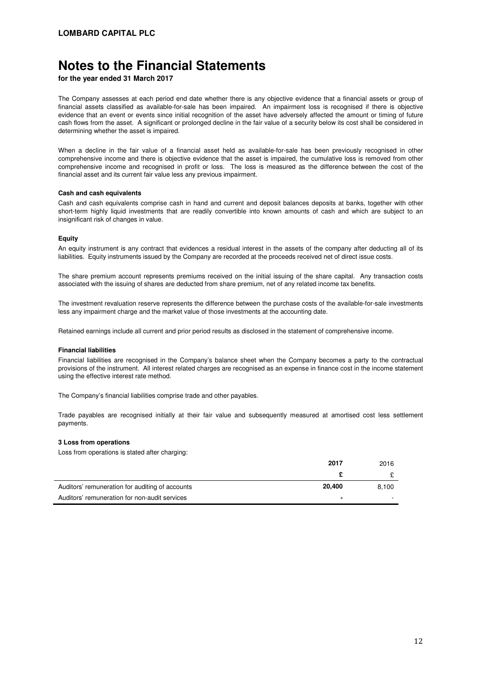**for the year ended 31 March 2017** 

The Company assesses at each period end date whether there is any objective evidence that a financial assets or group of financial assets classified as available-for-sale has been impaired. An impairment loss is recognised if there is objective evidence that an event or events since initial recognition of the asset have adversely affected the amount or timing of future cash flows from the asset. A significant or prolonged decline in the fair value of a security below its cost shall be considered in determining whether the asset is impaired.

When a decline in the fair value of a financial asset held as available-for-sale has been previously recognised in other comprehensive income and there is objective evidence that the asset is impaired, the cumulative loss is removed from other comprehensive income and recognised in profit or loss. The loss is measured as the difference between the cost of the financial asset and its current fair value less any previous impairment.

#### **Cash and cash equivalents**

Cash and cash equivalents comprise cash in hand and current and deposit balances deposits at banks, together with other short-term highly liquid investments that are readily convertible into known amounts of cash and which are subject to an insignificant risk of changes in value.

#### **Equity**

An equity instrument is any contract that evidences a residual interest in the assets of the company after deducting all of its liabilities. Equity instruments issued by the Company are recorded at the proceeds received net of direct issue costs.

The share premium account represents premiums received on the initial issuing of the share capital. Any transaction costs associated with the issuing of shares are deducted from share premium, net of any related income tax benefits.

The investment revaluation reserve represents the difference between the purchase costs of the available-for-sale investments less any impairment charge and the market value of those investments at the accounting date.

Retained earnings include all current and prior period results as disclosed in the statement of comprehensive income.

#### **Financial liabilities**

Financial liabilities are recognised in the Company's balance sheet when the Company becomes a party to the contractual provisions of the instrument. All interest related charges are recognised as an expense in finance cost in the income statement using the effective interest rate method.

The Company's financial liabilities comprise trade and other payables.

Trade payables are recognised initially at their fair value and subsequently measured at amortised cost less settlement payments.

#### **3 Loss from operations**

Loss from operations is stated after charging:

|                                                 | 2017           | 2016  |
|-------------------------------------------------|----------------|-------|
|                                                 |                |       |
| Auditors' remuneration for auditing of accounts | 20.400         | 8.100 |
| Auditors' remuneration for non-audit services   | $\blacksquare$ |       |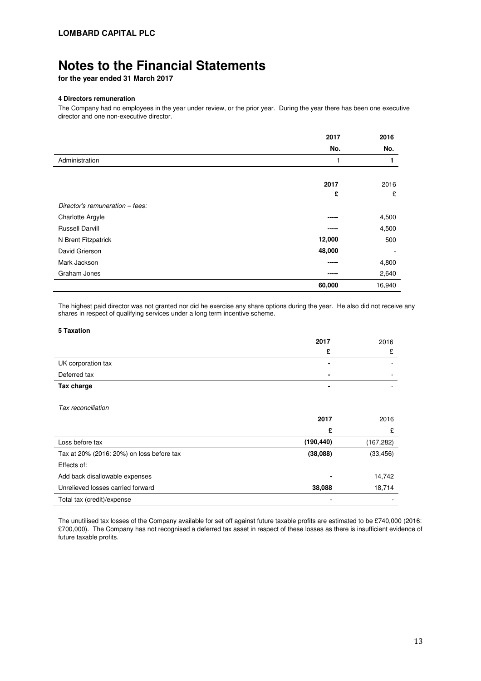**for the year ended 31 March 2017** 

### **4 Directors remuneration**

The Company had no employees in the year under review, or the prior year. During the year there has been one executive director and one non-executive director.

|                                 | 2017   | 2016   |
|---------------------------------|--------|--------|
|                                 | No.    | No.    |
| Administration                  | 1      | 1      |
|                                 |        |        |
|                                 | 2017   | 2016   |
|                                 | £      | £      |
| Director's remuneration - fees: |        |        |
| Charlotte Argyle                | -----  | 4,500  |
| <b>Russell Darvill</b>          | -----  | 4,500  |
| N Brent Fitzpatrick             | 12,000 | 500    |
| David Grierson                  | 48,000 |        |
| Mark Jackson                    | -----  | 4,800  |
| Graham Jones                    | -----  | 2,640  |
|                                 | 60,000 | 16,940 |

The highest paid director was not granted nor did he exercise any share options during the year. He also did not receive any shares in respect of qualifying services under a long term incentive scheme.

#### **5 Taxation**

|                                           | 2017       | 2016       |
|-------------------------------------------|------------|------------|
|                                           | £          | £          |
| UK corporation tax                        |            |            |
| Deferred tax                              |            |            |
| Tax charge                                |            |            |
|                                           |            |            |
| Tax reconciliation                        |            |            |
|                                           | 2017       | 2016       |
|                                           | £          | £          |
| Loss before tax                           | (190, 440) | (167, 282) |
| Tax at 20% (2016: 20%) on loss before tax | (38,088)   | (33, 456)  |
| Effects of:                               |            |            |
| Add back disallowable expenses            | ٠          | 14,742     |

Unrelieved losses carried forward **38,088** 18,714

Total tax (credit)/expense - -

The unutilised tax losses of the Company available for set off against future taxable profits are estimated to be £740,000 (2016: £700,000). The Company has not recognised a deferred tax asset in respect of these losses as there is insufficient evidence of future taxable profits.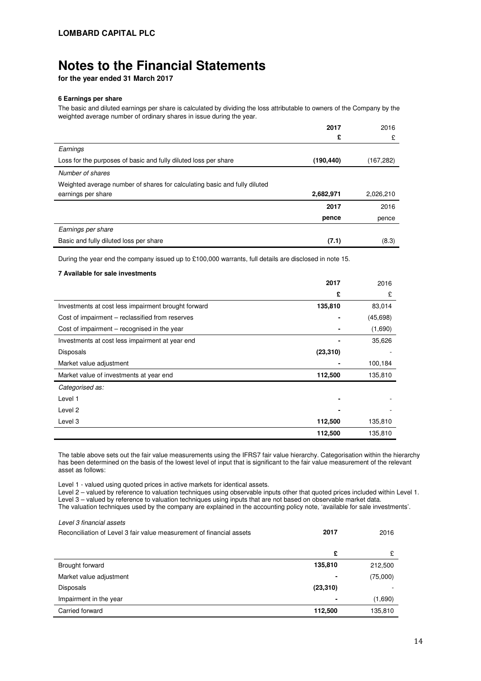**for the year ended 31 March 2017** 

#### **6 Earnings per share**

The basic and diluted earnings per share is calculated by dividing the loss attributable to owners of the Company by the weighted average number of ordinary shares in issue during the year.

|                                                                           | 2017       | 2016      |
|---------------------------------------------------------------------------|------------|-----------|
|                                                                           | £          | £         |
| Earnings                                                                  |            |           |
| Loss for the purposes of basic and fully diluted loss per share           | (190, 440) | (167,282) |
| Number of shares                                                          |            |           |
| Weighted average number of shares for calculating basic and fully diluted |            |           |
| earnings per share                                                        | 2,682,971  | 2,026,210 |
|                                                                           | 2017       | 2016      |
|                                                                           | pence      | pence     |
| Earnings per share                                                        |            |           |
| Basic and fully diluted loss per share                                    | (7.1)      | (8.3)     |
|                                                                           |            |           |

During the year end the company issued up to £100,000 warrants, full details are disclosed in note 15.

#### **7 Available for sale investments**

|                                                     | 2017      | 2016      |
|-----------------------------------------------------|-----------|-----------|
|                                                     | £         | £         |
| Investments at cost less impairment brought forward | 135,810   | 83,014    |
| Cost of impairment – reclassified from reserves     |           | (45, 698) |
| Cost of impairment – recognised in the year         |           | (1,690)   |
| Investments at cost less impairment at year end     |           | 35,626    |
| Disposals                                           | (23, 310) |           |
| Market value adjustment                             |           | 100,184   |
| Market value of investments at year end             | 112,500   | 135,810   |
| Categorised as:                                     |           |           |
| Level 1                                             |           |           |
| Level <sub>2</sub>                                  |           |           |
| Level 3                                             | 112,500   | 135,810   |
|                                                     | 112,500   | 135,810   |

The table above sets out the fair value measurements using the IFRS7 fair value hierarchy. Categorisation within the hierarchy has been determined on the basis of the lowest level of input that is significant to the fair value measurement of the relevant asset as follows:

Level 1 - valued using quoted prices in active markets for identical assets.

Level 2 – valued by reference to valuation techniques using observable inputs other that quoted prices included within Level 1. Level 3 – valued by reference to valuation techniques using inputs that are not based on observable market data. The valuation techniques used by the company are explained in the accounting policy note, 'available for sale investments'.

Level 3 financial assets

| Reconciliation of Level 3 fair value measurement of financial assets | 2017           | 2016     |
|----------------------------------------------------------------------|----------------|----------|
|                                                                      | £              | £        |
| Brought forward                                                      | 135,810        | 212,500  |
| Market value adjustment                                              | $\blacksquare$ | (75,000) |
| <b>Disposals</b>                                                     | (23, 310)      |          |
| Impairment in the year                                               | -              | (1,690)  |
| Carried forward                                                      | 112.500        | 135,810  |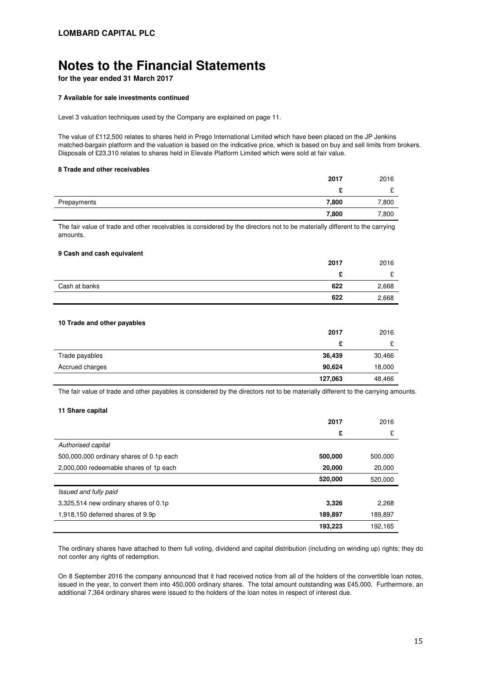**for the year ended 31 March 2017** 

#### **7 Available for sale investments continued**

Level 3 valuation techniques used by the Company are explained on page 11.

The value of £112,500 relates to shares held in Prego International Limited which have been placed on the JP Jenkins matched-bargain platform and the valuation is based on the indicative price, which is based on buy and sell limits from brokers. Disposals of £23,310 relates to shares held in Elevate Platform Limited which were sold at fair value.

#### **8 Trade and other receivables**

|             | 2017  | 2016  |
|-------------|-------|-------|
|             |       | ~     |
| Prepayments | 7,800 | 7,800 |
|             | 7,800 | 7,800 |

The fair value of trade and other receivables is considered by the directors not to be materially different to the carrying amounts.

#### **9 Cash and cash equivalent**

|               | 2017 | 2016  |
|---------------|------|-------|
|               |      | ~     |
| Cash at banks | 622  | 2,668 |
|               | 622  | 2,668 |

#### **10 Trade and other payables**

|                 | 2017    | 2016   |
|-----------------|---------|--------|
|                 | £       | c      |
| Trade payables  | 36,439  | 30,466 |
| Accrued charges | 90,624  | 18,000 |
|                 | 127,063 | 48,466 |

The fair value of trade and other payables is considered by the directors not to be materially different to the carrying amounts.

#### **11 Share capital**

|                                          | 2017    | 2016    |
|------------------------------------------|---------|---------|
|                                          | £       | £       |
| Authorised capital                       |         |         |
| 500,000,000 ordinary shares of 0.1p each | 500,000 | 500,000 |
| 2,000,000 redeemable shares of 1p each   | 20,000  | 20,000  |
|                                          | 520,000 | 520,000 |
| Issued and fully paid                    |         |         |
| 3,325,514 new ordinary shares of 0.1p    | 3,326   | 2,268   |
| 1,918,150 deferred shares of 9.9p        | 189,897 | 189,897 |
|                                          | 193,223 | 192,165 |

The ordinary shares have attached to them full voting, dividend and capital distribution (including on winding up) rights; they do not confer any rights of redemption.

On 8 September 2016 the company announced that it had received notice from all of the holders of the convertible loan notes, issued in the year, to convert them into 450,000 ordinary shares. The total amount outstanding was £45,000. Furthermore, an additional 7,364 ordinary shares were issued to the holders of the loan notes in respect of interest due.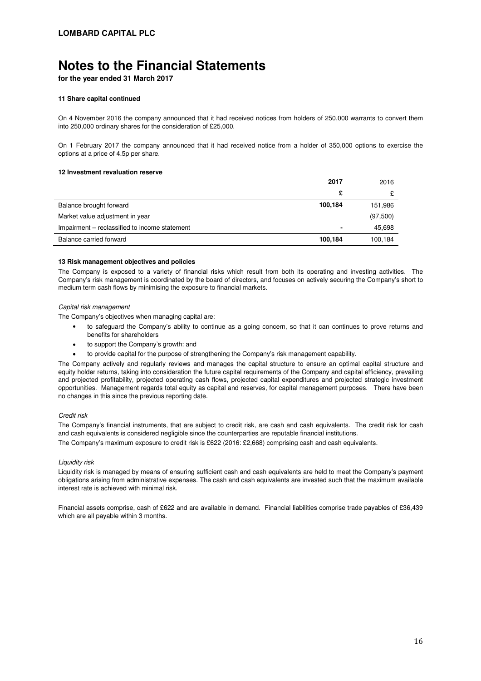**for the year ended 31 March 2017** 

#### **11 Share capital continued**

On 4 November 2016 the company announced that it had received notices from holders of 250,000 warrants to convert them into 250,000 ordinary shares for the consideration of £25,000.

On 1 February 2017 the company announced that it had received notice from a holder of 350,000 options to exercise the options at a price of 4.5p per share.

#### **12 Investment revaluation reserve**

|                                               | 2017    | 2016      |
|-----------------------------------------------|---------|-----------|
|                                               | £       |           |
| Balance brought forward                       | 100.184 | 151,986   |
| Market value adjustment in year               |         | (97, 500) |
| Impairment – reclassified to income statement |         | 45,698    |
| Balance carried forward                       | 100.184 | 100.184   |

#### **13 Risk management objectives and policies**

The Company is exposed to a variety of financial risks which result from both its operating and investing activities. The Company's risk management is coordinated by the board of directors, and focuses on actively securing the Company's short to medium term cash flows by minimising the exposure to financial markets.

#### Capital risk management

The Company's objectives when managing capital are:

- to safeguard the Company's ability to continue as a going concern, so that it can continues to prove returns and benefits for shareholders
- to support the Company's growth: and
- to provide capital for the purpose of strengthening the Company's risk management capability.

The Company actively and regularly reviews and manages the capital structure to ensure an optimal capital structure and equity holder returns, taking into consideration the future capital requirements of the Company and capital efficiency, prevailing and projected profitability, projected operating cash flows, projected capital expenditures and projected strategic investment opportunities. Management regards total equity as capital and reserves, for capital management purposes. There have been no changes in this since the previous reporting date.

#### Credit risk

The Company's financial instruments, that are subject to credit risk, are cash and cash equivalents. The credit risk for cash and cash equivalents is considered negligible since the counterparties are reputable financial institutions.

The Company's maximum exposure to credit risk is £622 (2016: £2,668) comprising cash and cash equivalents.

#### Liquidity risk

Liquidity risk is managed by means of ensuring sufficient cash and cash equivalents are held to meet the Company's payment obligations arising from administrative expenses. The cash and cash equivalents are invested such that the maximum available interest rate is achieved with minimal risk.

Financial assets comprise, cash of £622 and are available in demand. Financial liabilities comprise trade payables of £36,439 which are all payable within 3 months.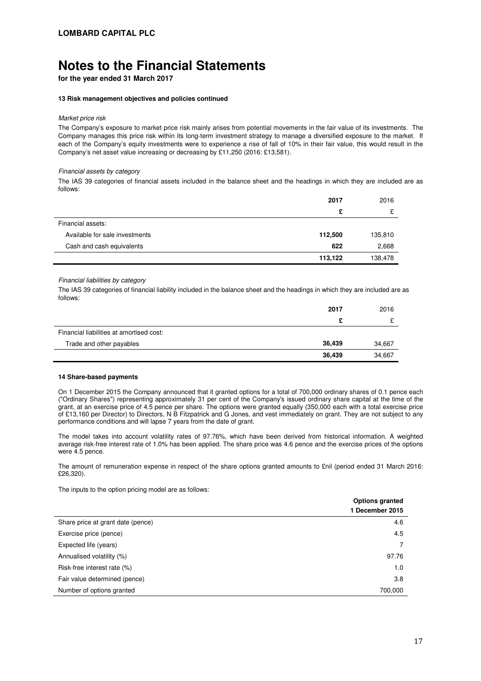**for the year ended 31 March 2017** 

#### **13 Risk management objectives and policies continued**

#### Market price risk

The Company's exposure to market price risk mainly arises from potential movements in the fair value of its investments. The Company manages this price risk within its long-term investment strategy to manage a diversified exposure to the market. If each of the Company's equity investments were to experience a rise of fall of 10% in their fair value, this would result in the Company's net asset value increasing or decreasing by £11,250 (2016: £13,581).

#### Financial assets by category

The IAS 39 categories of financial assets included in the balance sheet and the headings in which they are included are as follows:

|                                | 2017    | 2016    |
|--------------------------------|---------|---------|
|                                | £       | ₽       |
| Financial assets:              |         |         |
| Available for sale investments | 112,500 | 135,810 |
| Cash and cash equivalents      | 622     | 2,668   |
|                                | 113,122 | 138,478 |

Financial liabilities by category

The IAS 39 categories of financial liability included in the balance sheet and the headings in which they are included are as follows:

|                                          | 2017   | 2016   |
|------------------------------------------|--------|--------|
|                                          | £      | c      |
| Financial liabilities at amortised cost: |        |        |
| Trade and other payables                 | 36,439 | 34,667 |
|                                          | 36,439 | 34,667 |

#### **14 Share-based payments**

On 1 December 2015 the Company announced that it granted options for a total of 700,000 ordinary shares of 0.1 pence each ("Ordinary Shares") representing approximately 31 per cent of the Company's issued ordinary share capital at the time of the grant, at an exercise price of 4.5 pence per share. The options were granted equally (350,000 each with a total exercise price of £13,160 per Director) to Directors, N B Fitzpatrick and G Jones, and vest immediately on grant. They are not subject to any performance conditions and will lapse 7 years from the date of grant.

The model takes into account volatility rates of 97.76%, which have been derived from historical information. A weighted average risk-free interest rate of 1.0% has been applied. The share price was 4.6 pence and the exercise prices of the options were 4.5 pence.

The amount of remuneration expense in respect of the share options granted amounts to £nil (period ended 31 March 2016: £26,320).

The inputs to the option pricing model are as follows:

|                                   | <b>Options granted</b><br>1 December 2015 |
|-----------------------------------|-------------------------------------------|
| Share price at grant date (pence) | 4.6                                       |
| Exercise price (pence)            | 4.5                                       |
| Expected life (years)             | 7                                         |
| Annualised volatility (%)         | 97.76                                     |
| Risk-free interest rate (%)       | 1.0                                       |
| Fair value determined (pence)     | 3.8                                       |
| Number of options granted         | 700,000                                   |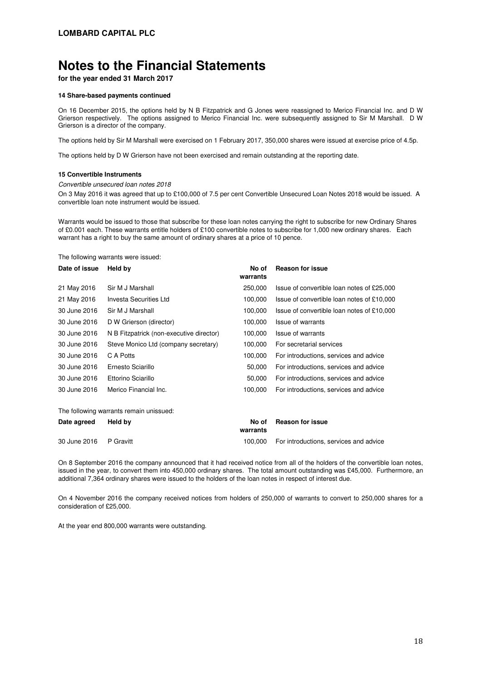**for the year ended 31 March 2017** 

#### **14 Share-based payments continued**

On 16 December 2015, the options held by N B Fitzpatrick and G Jones were reassigned to Merico Financial Inc. and D W Grierson respectively. The options assigned to Merico Financial Inc. were subsequently assigned to Sir M Marshall. D W Grierson is a director of the company.

The options held by Sir M Marshall were exercised on 1 February 2017, 350,000 shares were issued at exercise price of 4.5p.

The options held by D W Grierson have not been exercised and remain outstanding at the reporting date.

#### **15 Convertible Instruments**

#### Convertible unsecured loan notes 2018

On 3 May 2016 it was agreed that up to £100,000 of 7.5 per cent Convertible Unsecured Loan Notes 2018 would be issued. A convertible loan note instrument would be issued.

Warrants would be issued to those that subscribe for these loan notes carrying the right to subscribe for new Ordinary Shares of £0.001 each. These warrants entitle holders of £100 convertible notes to subscribe for 1,000 new ordinary shares. Each warrant has a right to buy the same amount of ordinary shares at a price of 10 pence.

The following warrants were issued:

| Date of issue          | Held by                                  | No of<br>warrants | <b>Reason for issue</b>                    |
|------------------------|------------------------------------------|-------------------|--------------------------------------------|
| 21 May 2016            | Sir M J Marshall                         | 250,000           | Issue of convertible loan notes of £25,000 |
| 21 May 2016            | Investa Securities Ltd                   | 100,000           | Issue of convertible loan notes of £10,000 |
| 30 June 2016           | Sir M J Marshall                         | 100,000           | Issue of convertible loan notes of £10,000 |
| 30 June 2016           | D W Grierson (director)                  | 100,000           | Issue of warrants                          |
| 30 June 2016           | N B Fitzpatrick (non-executive director) | 100,000           | Issue of warrants                          |
| 30 June 2016           | Steve Monico Ltd (company secretary)     | 100,000           | For secretarial services                   |
| 30 June 2016           | C A Potts                                | 100,000           | For introductions, services and advice     |
| 30 June 2016           | Ernesto Sciarillo                        | 50,000            | For introductions, services and advice     |
| 30 June 2016           | Ettorino Sciarillo                       | 50,000            | For introductions, services and advice     |
| 30 June 2016           | Merico Financial Inc.                    | 100,000           | For introductions, services and advice     |
|                        | The following warrants remain unissued:  |                   |                                            |
| Held by<br>Date agreed |                                          | No of             | <b>Reason for issue</b>                    |

| Date agreed            | Held by | warrants | No of Reason for issue                         |
|------------------------|---------|----------|------------------------------------------------|
| 30 June 2016 P Gravitt |         |          | 100,000 For introductions, services and advice |

On 8 September 2016 the company announced that it had received notice from all of the holders of the convertible loan notes, issued in the year, to convert them into 450,000 ordinary shares. The total amount outstanding was £45,000. Furthermore, an additional 7,364 ordinary shares were issued to the holders of the loan notes in respect of interest due.

On 4 November 2016 the company received notices from holders of 250,000 of warrants to convert to 250,000 shares for a consideration of £25,000.

At the year end 800,000 warrants were outstanding.